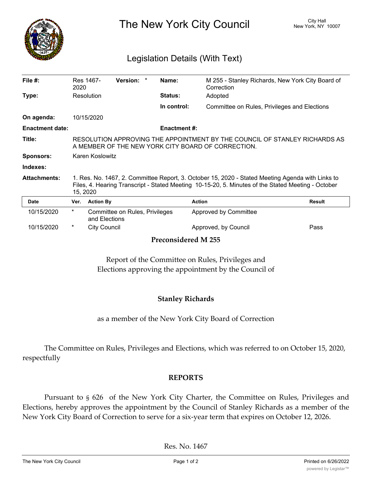

The New York City Council New York, NY 10007

## Legislation Details (With Text)

| File $#$ :                 | 2020                                                                                                                                                                                                               | Res 1467-           | Version: *                     | Name:               | M 255 - Stanley Richards, New York City Board of<br>Correction |               |
|----------------------------|--------------------------------------------------------------------------------------------------------------------------------------------------------------------------------------------------------------------|---------------------|--------------------------------|---------------------|----------------------------------------------------------------|---------------|
| Type:                      |                                                                                                                                                                                                                    | Resolution          |                                | <b>Status:</b>      | Adopted                                                        |               |
|                            |                                                                                                                                                                                                                    |                     |                                | In control:         | Committee on Rules, Privileges and Elections                   |               |
| On agenda:                 |                                                                                                                                                                                                                    | 10/15/2020          |                                |                     |                                                                |               |
| <b>Enactment date:</b>     |                                                                                                                                                                                                                    |                     |                                | <b>Enactment #:</b> |                                                                |               |
| Title:                     | RESOLUTION APPROVING THE APPOINTMENT BY THE COUNCIL OF STANLEY RICHARDS AS<br>A MEMBER OF THE NEW YORK CITY BOARD OF CORRECTION.                                                                                   |                     |                                |                     |                                                                |               |
| <b>Sponsors:</b>           | Karen Koslowitz                                                                                                                                                                                                    |                     |                                |                     |                                                                |               |
| Indexes:                   |                                                                                                                                                                                                                    |                     |                                |                     |                                                                |               |
| <b>Attachments:</b>        | 1. Res. No. 1467, 2. Committee Report, 3. October 15, 2020 - Stated Meeting Agenda with Links to<br>Files, 4. Hearing Transcript - Stated Meeting 10-15-20, 5. Minutes of the Stated Meeting - October<br>15, 2020 |                     |                                |                     |                                                                |               |
| Date                       | Ver.                                                                                                                                                                                                               | <b>Action By</b>    |                                | <b>Action</b>       |                                                                | <b>Result</b> |
| 10/15/2020                 | $\ast$                                                                                                                                                                                                             | and Elections       | Committee on Rules, Privileges |                     | Approved by Committee                                          |               |
| 10/15/2020                 | $^\star$                                                                                                                                                                                                           | <b>City Council</b> |                                |                     | Approved, by Council                                           | Pass          |
| <b>Preconsidered M 255</b> |                                                                                                                                                                                                                    |                     |                                |                     |                                                                |               |

Report of the Committee on Rules, Privileges and Elections approving the appointment by the Council of

## **Stanley Richards**

as a member of the New York City Board of Correction

The Committee on Rules, Privileges and Elections, which was referred to on October 15, 2020, respectfully

## **REPORTS**

Pursuant to § 626 of the New York City Charter, the Committee on Rules, Privileges and Elections, hereby approves the appointment by the Council of Stanley Richards as a member of the New York City Board of Correction to serve for a six-year term that expires on October 12, 2026.

Res. No. 1467